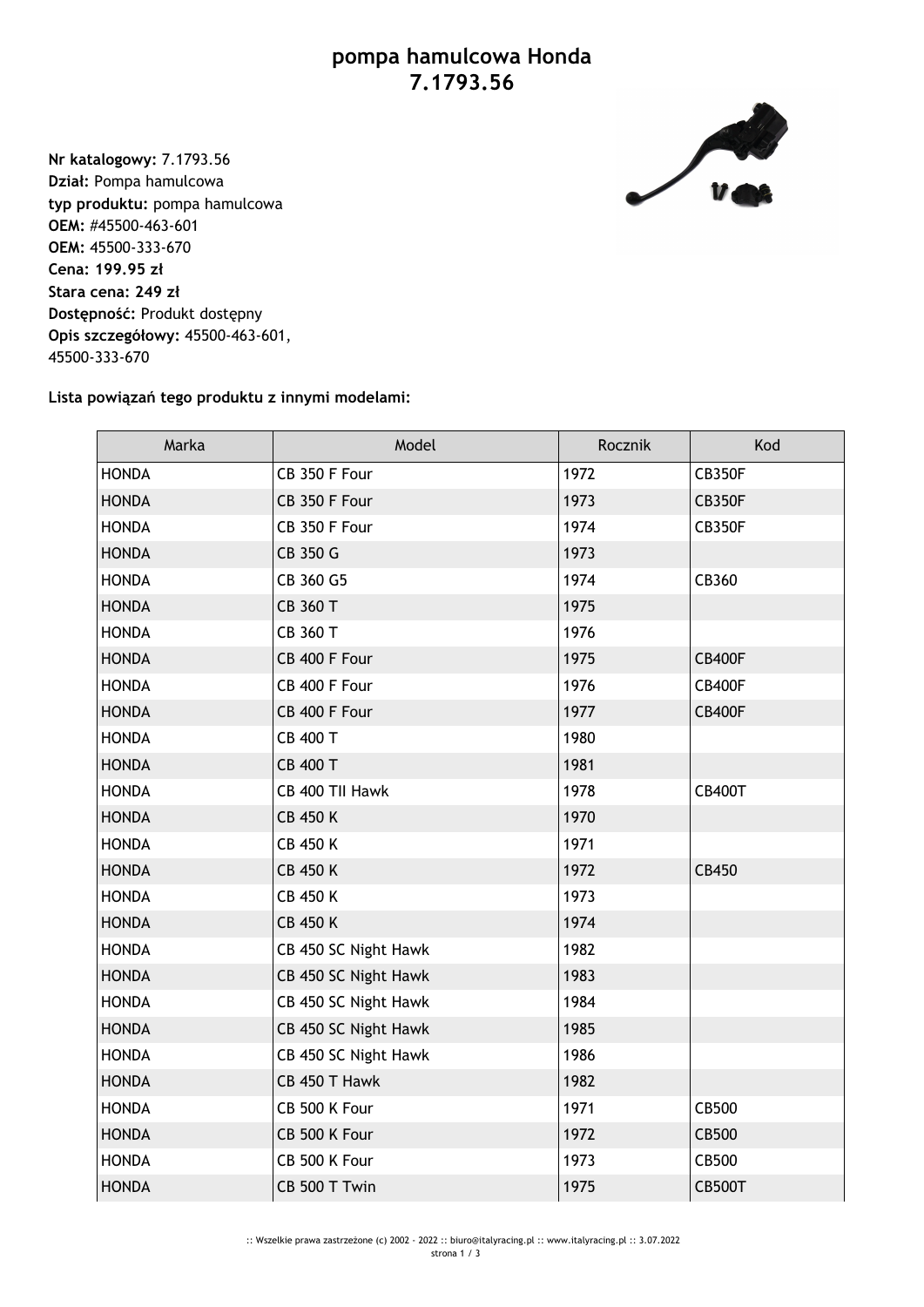## **pompa hamulcowa Honda 7.1793.56**



**Nr katalogowy:** 7.1793.56 **Dział:** Pompa hamulcowa **typ produktu:** pompa hamulcowa **OEM:** #45500-463-601 **OEM:** 45500-333-670 **Cena: 199.95 zł Stara cena: 249 zł Dostępność:** Produkt dostępny **Opis szczegółowy:** 45500-463-601, 45500-333-670

## **Lista powiązań tego produktu z innymi modelami:**

| Marka        | Model                | Rocznik | Kod           |
|--------------|----------------------|---------|---------------|
| <b>HONDA</b> | CB 350 F Four        | 1972    | <b>CB350F</b> |
| <b>HONDA</b> | CB 350 F Four        | 1973    | <b>CB350F</b> |
| <b>HONDA</b> | CB 350 F Four        | 1974    | <b>CB350F</b> |
| <b>HONDA</b> | CB 350 G             | 1973    |               |
| <b>HONDA</b> | CB 360 G5            | 1974    | CB360         |
| <b>HONDA</b> | CB 360 T             | 1975    |               |
| <b>HONDA</b> | CB 360 T             | 1976    |               |
| <b>HONDA</b> | CB 400 F Four        | 1975    | <b>CB400F</b> |
| <b>HONDA</b> | CB 400 F Four        | 1976    | <b>CB400F</b> |
| <b>HONDA</b> | CB 400 F Four        | 1977    | <b>CB400F</b> |
| <b>HONDA</b> | CB 400 T             | 1980    |               |
| <b>HONDA</b> | CB 400 T             | 1981    |               |
| <b>HONDA</b> | CB 400 TII Hawk      | 1978    | <b>CB400T</b> |
| <b>HONDA</b> | <b>CB 450 K</b>      | 1970    |               |
| <b>HONDA</b> | <b>CB 450 K</b>      | 1971    |               |
| <b>HONDA</b> | <b>CB 450 K</b>      | 1972    | CB450         |
| <b>HONDA</b> | <b>CB 450 K</b>      | 1973    |               |
| <b>HONDA</b> | <b>CB 450 K</b>      | 1974    |               |
| <b>HONDA</b> | CB 450 SC Night Hawk | 1982    |               |
| <b>HONDA</b> | CB 450 SC Night Hawk | 1983    |               |
| <b>HONDA</b> | CB 450 SC Night Hawk | 1984    |               |
| <b>HONDA</b> | CB 450 SC Night Hawk | 1985    |               |
| <b>HONDA</b> | CB 450 SC Night Hawk | 1986    |               |
| <b>HONDA</b> | CB 450 T Hawk        | 1982    |               |
| <b>HONDA</b> | CB 500 K Four        | 1971    | CB500         |
| <b>HONDA</b> | CB 500 K Four        | 1972    | <b>CB500</b>  |
| <b>HONDA</b> | CB 500 K Four        | 1973    | <b>CB500</b>  |
| <b>HONDA</b> | CB 500 T Twin        | 1975    | <b>CB500T</b> |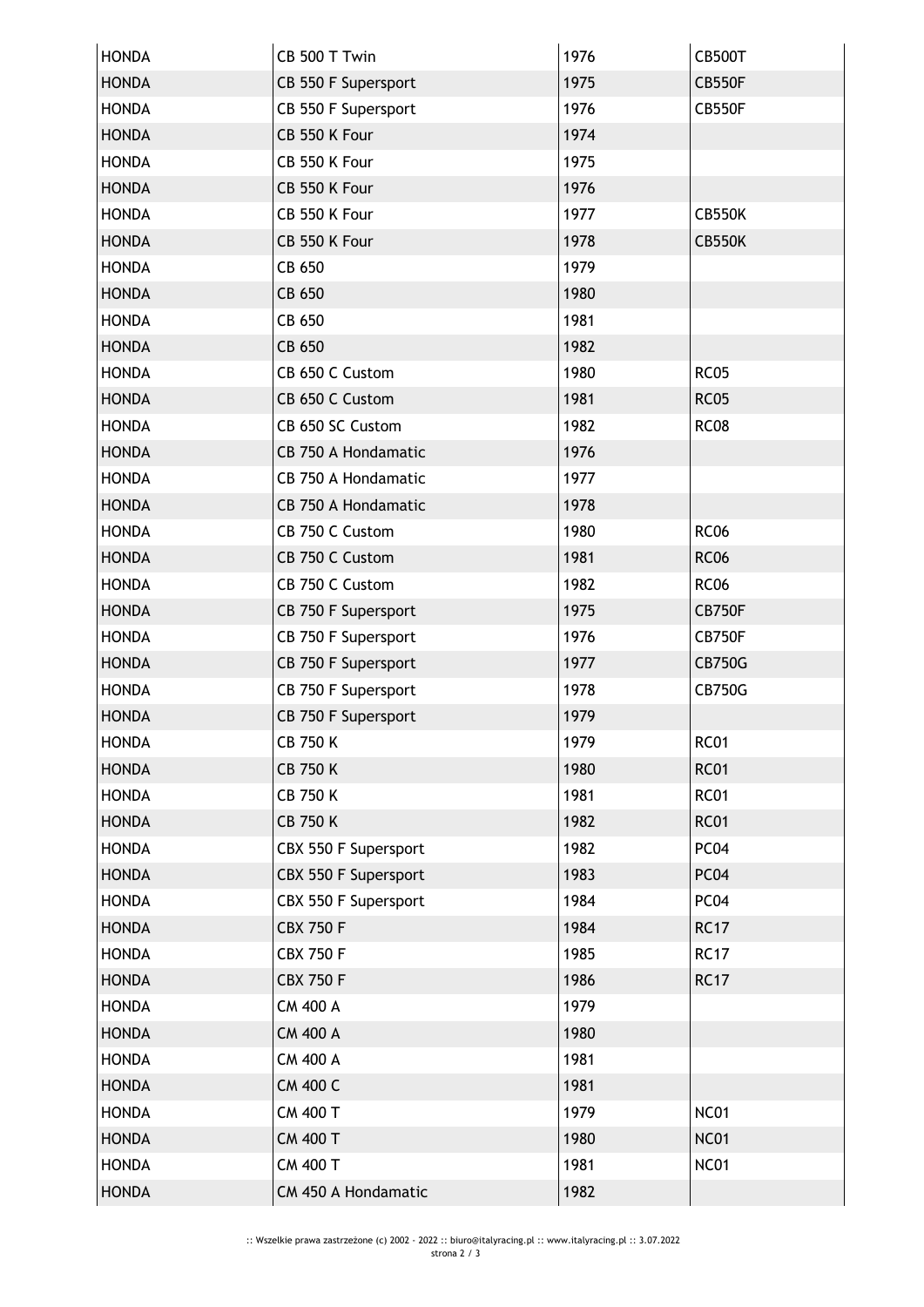| <b>HONDA</b> | CB 500 T Twin              | 1976 | <b>CB500T</b>    |
|--------------|----------------------------|------|------------------|
| <b>HONDA</b> | CB 550 F Supersport        | 1975 | <b>CB550F</b>    |
| <b>HONDA</b> | CB 550 F Supersport        | 1976 | CB550F           |
| <b>HONDA</b> | CB 550 K Four              | 1974 |                  |
| <b>HONDA</b> | CB 550 K Four              | 1975 |                  |
| <b>HONDA</b> | CB 550 K Four              | 1976 |                  |
| <b>HONDA</b> | CB 550 K Four              | 1977 | <b>CB550K</b>    |
| <b>HONDA</b> | CB 550 K Four              | 1978 | <b>CB550K</b>    |
| <b>HONDA</b> | CB 650                     | 1979 |                  |
| <b>HONDA</b> | CB 650                     | 1980 |                  |
| <b>HONDA</b> | CB 650                     | 1981 |                  |
| <b>HONDA</b> | CB 650                     | 1982 |                  |
| <b>HONDA</b> | CB 650 C Custom            | 1980 | <b>RC05</b>      |
| <b>HONDA</b> | CB 650 C Custom            | 1981 | <b>RC05</b>      |
| <b>HONDA</b> | CB 650 SC Custom           | 1982 | <b>RC08</b>      |
| <b>HONDA</b> | <b>CB 750 A Hondamatic</b> | 1976 |                  |
| <b>HONDA</b> | CB 750 A Hondamatic        | 1977 |                  |
| <b>HONDA</b> | CB 750 A Hondamatic        | 1978 |                  |
| <b>HONDA</b> | CB 750 C Custom            | 1980 | <b>RC06</b>      |
| <b>HONDA</b> | CB 750 C Custom            | 1981 | <b>RC06</b>      |
| <b>HONDA</b> | CB 750 C Custom            | 1982 | <b>RC06</b>      |
| <b>HONDA</b> | CB 750 F Supersport        | 1975 | <b>CB750F</b>    |
| <b>HONDA</b> | CB 750 F Supersport        | 1976 | CB750F           |
| <b>HONDA</b> | CB 750 F Supersport        | 1977 | <b>CB750G</b>    |
| <b>HONDA</b> | CB 750 F Supersport        | 1978 | <b>CB750G</b>    |
| <b>HONDA</b> | CB 750 F Supersport        | 1979 |                  |
| <b>HONDA</b> | CB 750 K                   | 1979 | RC <sub>01</sub> |
| <b>HONDA</b> | <b>CB 750 K</b>            | 1980 | <b>RC01</b>      |
| <b>HONDA</b> | <b>CB 750 K</b>            | 1981 | <b>RC01</b>      |
| <b>HONDA</b> | <b>CB 750 K</b>            | 1982 | <b>RC01</b>      |
| <b>HONDA</b> | CBX 550 F Supersport       | 1982 | PC04             |
| <b>HONDA</b> | CBX 550 F Supersport       | 1983 | PC04             |
| <b>HONDA</b> | CBX 550 F Supersport       | 1984 | PC04             |
| <b>HONDA</b> | <b>CBX 750 F</b>           | 1984 | <b>RC17</b>      |
| <b>HONDA</b> | <b>CBX 750 F</b>           | 1985 | <b>RC17</b>      |
| <b>HONDA</b> | <b>CBX 750 F</b>           | 1986 | <b>RC17</b>      |
| <b>HONDA</b> | <b>CM 400 A</b>            | 1979 |                  |
| <b>HONDA</b> | <b>CM 400 A</b>            | 1980 |                  |
| <b>HONDA</b> | <b>CM 400 A</b>            | 1981 |                  |
| <b>HONDA</b> | <b>CM 400 C</b>            | 1981 |                  |
| <b>HONDA</b> | CM 400 T                   | 1979 | <b>NC01</b>      |
| <b>HONDA</b> | <b>CM 400 T</b>            | 1980 | <b>NC01</b>      |
| <b>HONDA</b> | <b>CM 400 T</b>            | 1981 | <b>NC01</b>      |
| <b>HONDA</b> | CM 450 A Hondamatic        | 1982 |                  |
|              |                            |      |                  |